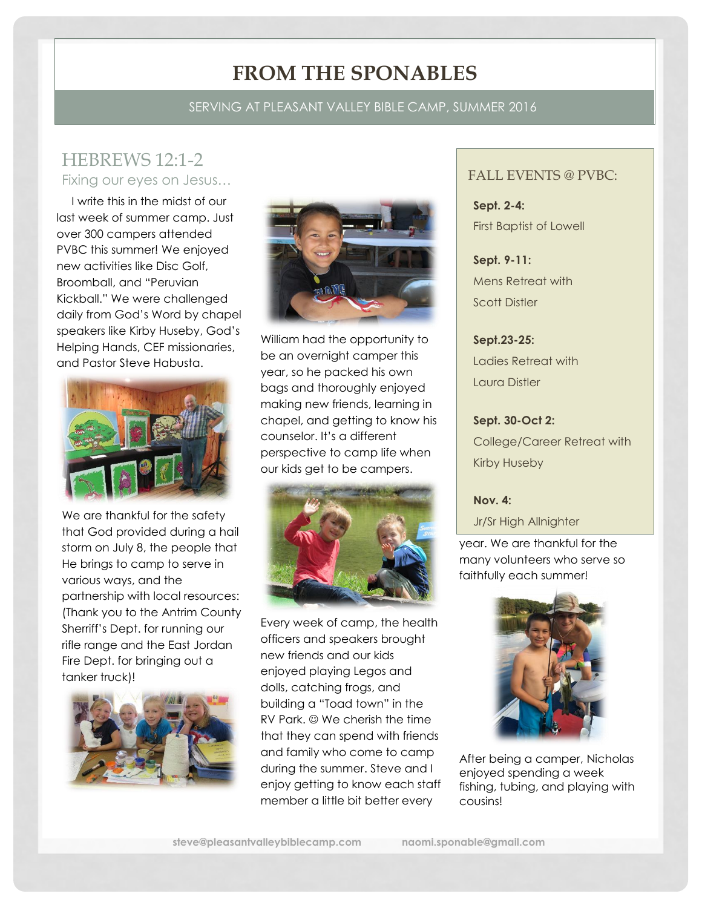# **FROM THE SPONABLES**

### SERVING AT PLEASANT VALLEY BIBLE CAMP, SUMMER 2016

### HEBREWS 12:1-2 Fixing our eyes on Jesus…

 I write this in the midst of our last week of summer camp. Just over 300 campers attended PVBC this summer! We enjoyed new activities like Disc Golf, Broomball, and "Peruvian Kickball." We were challenged daily from God's Word by chapel speakers like Kirby Huseby, God's Helping Hands, CEF missionaries, and Pastor Steve Habusta.



We are thankful for the safety that God provided during a hail storm on July 8, the people that He brings to camp to serve in various ways, and the partnership with local resources: (Thank you to the Antrim County Sherriff's Dept. for running our rifle range and the East Jordan Fire Dept. for bringing out a tanker truck)!





William had the opportunity to be an overnight camper this year, so he packed his own bags and thoroughly enjoyed making new friends, learning in chapel, and getting to know his counselor. It's a different perspective to camp life when our kids get to be campers.



Every week of camp, the health officers and speakers brought new friends and our kids enjoyed playing Legos and dolls, catching frogs, and building a "Toad town" in the RV Park.  $\odot$  We cherish the time that they can spend with friends and family who come to camp during the summer. Steve and I enjoy getting to know each staff member a little bit better every

#### FALL EVENTS @ PVBC:

**Sept. 2-4:**  First Baptist of Lowell

**Sept. 9-11:**  Mens Retreat with Scott Distler

**Sept.23-25:**  Ladies Retreat with Laura Distler

**Sept. 30-Oct 2:**  College/Career Retreat with Kirby Huseby

#### **Nov. 4:**

Jr/Sr High Allnighter

year. We are thankful for the many volunteers who serve so faithfully each summer!



After being a camper, Nicholas enjoyed spending a week fishing, tubing, and playing with cousins!

**steve@pleasantvalleybiblecamp.com naomi.sponable@gmail.com**